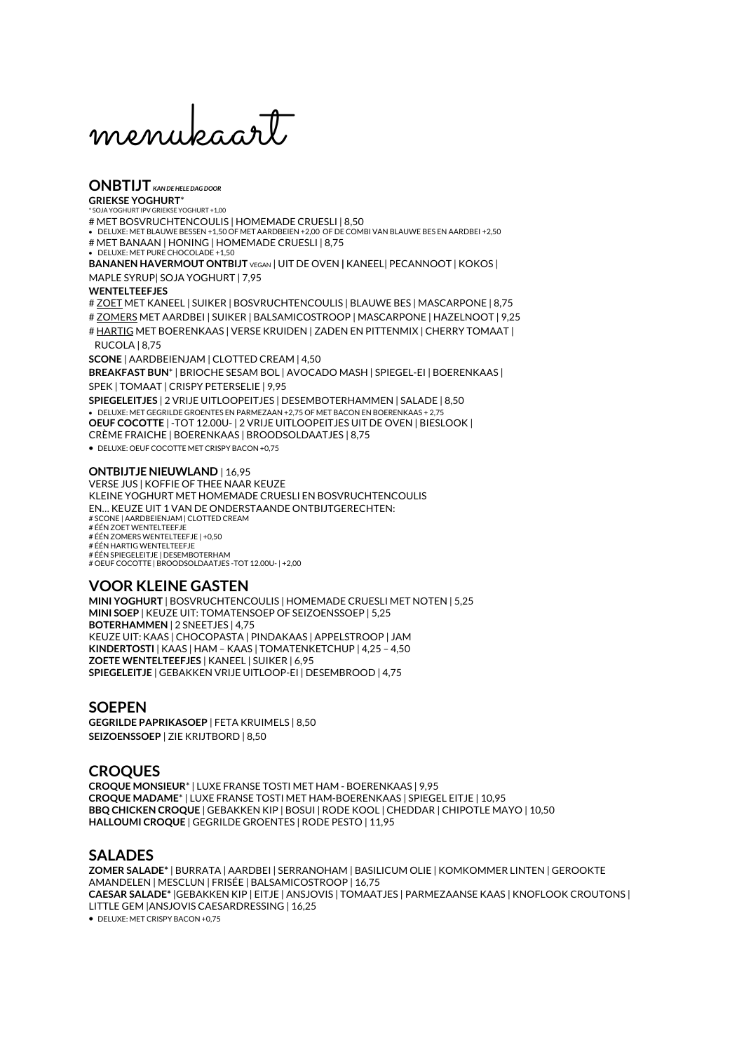menukaart

# **ONBTIJT** *KAN DE HELE DAG DOOR*

**GRIEKSE YOGHURT IPV GRIEKSE YOGHURT +1.00** # MET BOSVRUCHTENCOULIS | HOMEMADE CRUESLI | 8,50

• DELUXE: MET BLAUWE BESSEN +1,50 OF MET AARDBEIEN +2,00 OF DE COMBI VAN BLAUWE BES EN AARDBEI +2,50 # MET BANAAN | HONING | HOMEMADE CRUESLI | 8,75

• DELUXE: MET PURE CHOCOLADE +1,50

**BANANEN HAVERMOUT ONTBIJT** VEGAN | UIT DE OVEN **|** KANEEL| PECANNOOT | KOKOS | MAPLE SYRUP| SOJA YOGHURT | 7,95

#### **WENTELTEEFJES**

# ZOET MET KANEEL | SUIKER | BOSVRUCHTENCOULIS | BLAUWE BES | MASCARPONE | 8,75

# ZOMERS MET AARDBEI | SUIKER | BALSAMICOSTROOP | MASCARPONE | HAZELNOOT | 9,25 # HARTIG MET BOERENKAAS | VERSE KRUIDEN | ZADEN EN PITTENMIX | CHERRY TOMAAT | RUCOLA | 8,75

**SCONE** | AARDBEIENJAM | CLOTTED CREAM | 4,50

**BREAKFAST BUN**\* | BRIOCHE SESAM BOL | AVOCADO MASH | SPIEGEL-EI | BOERENKAAS | SPEK | TOMAAT | CRISPY PETERSELIE | 9,95

**SPIEGELEITJES** | 2 VRIJE UITLOOPEITJES | DESEMBOTERHAMMEN | SALADE | 8,50 • DELUXE: MET GEGRILDE GROENTES EN PARMEZAAN +2,75 OF MET BACON EN BOERENKAAS + 2,75 **OEUF COCOTTE** | -TOT 12.00U- | 2 VRIJE UITLOOPEITJES UIT DE OVEN | BIESLOOK | CRÈME FRAICHE | BOERENKAAS | BROODSOLDAATJES | 8,75

• DELUXE: OEUF COCOTTE MET CRISPY BACON +0,75

#### **ONTBIJTJE NIEUWLAND** | 16,95

VERSE JUS | KOFFIE OF THEE NAAR KEUZE KLEINE YOGHURT MET HOMEMADE CRUESLI EN BOSVRUCHTENCOULIS EN… KEUZE UIT 1 VAN DE ONDERSTAANDE ONTBIJTGERECHTEN: # SCONE | AARDBEIENJAM | CLOTTED CREAM # ÉÉN ZOET WENTELTEEFJE # ÉÉN ZOMERS WENTELTEEFJE | +0,50 # ÉÉN HARTIG WENTELTEEFJE # ÉÉN SPIEGELEITJE | DESEMBOTERHAM # OEUF COCOTTE | BROODSOLDAATJES -TOT 12.00U- | +2,00

## **VOOR KLEINE GASTEN**

**MINI YOGHURT** | BOSVRUCHTENCOULIS | HOMEMADE CRUESLI MET NOTEN | 5,25 **MINI SOEP** | KEUZE UIT: TOMATENSOEP OF SEIZOENSSOEP | 5,25 **BOTERHAMMEN** | 2 SNEETJES | 4,75 KEUZE UIT: KAAS | CHOCOPASTA | PINDAKAAS | APPELSTROOP | JAM **KINDERTOSTI** | KAAS | HAM – KAAS | TOMATENKETCHUP | 4,25 – 4,50 **ZOETE WENTELTEEFJES** | KANEEL | SUIKER | 6,95 **SPIEGELEITJE** | GEBAKKEN VRIJE UITLOOP-EI | DESEMBROOD | 4,75

#### **SOEPEN**

**GEGRILDE PAPRIKASOEP** | FETA KRUIMELS | 8,50 **SEIZOENSSOEP** | ZIE KRIJTBORD | 8,50

#### **CROQUES**

**CROQUE MONSIEUR**\* | LUXE FRANSE TOSTI MET HAM - BOERENKAAS | 9,95 **CROQUE MADAME**\* | LUXE FRANSE TOSTI MET HAM-BOERENKAAS | SPIEGEL EITJE | 10,95 **BBQ CHICKEN CROQUE** | GEBAKKEN KIP | BOSUI | RODE KOOL | CHEDDAR | CHIPOTLE MAYO | 10,50 **HALLOUMI CROQUE** | GEGRILDE GROENTES | RODE PESTO | 11,95

#### **SALADES**

**ZOMER SALADE\*** | BURRATA | AARDBEI | SERRANOHAM | BASILICUM OLIE | KOMKOMMER LINTEN | GEROOKTE AMANDELEN | MESCLUN | FRISÉE | BALSAMICOSTROOP | 16,75 **CAESAR SALADE\*** |GEBAKKEN KIP | EITJE | ANSJOVIS | TOMAATJES | PARMEZAANSE KAAS | KNOFLOOK CROUTONS | LITTLE GEM |ANSJOVIS CAESARDRESSING | 16,25

• DELUXE: MET CRISPY BACON +0,75